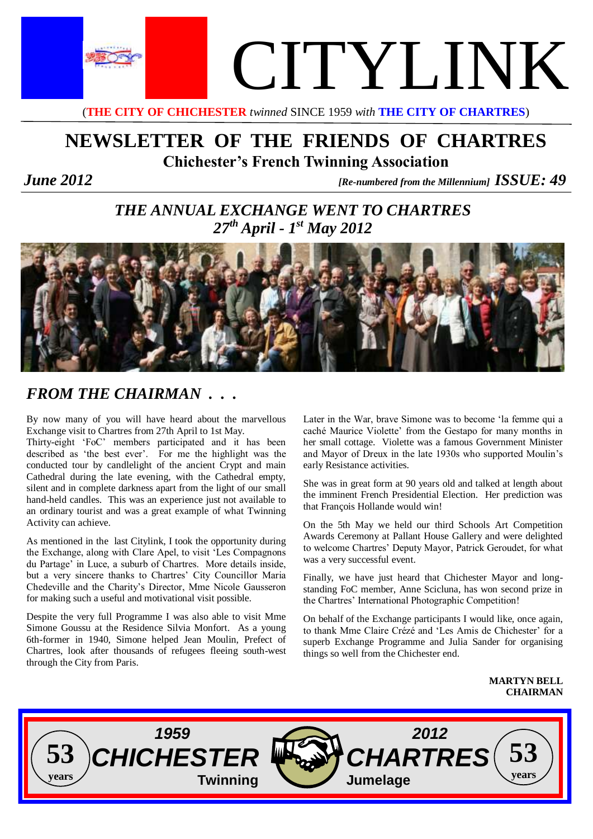

(**THE CITY OF CHICHESTER** *twinned* SINCE 1959 *with* **THE CITY OF CHARTRES**)

# **NEWSLETTER OF THE FRIENDS OF CHARTRES Chichester's French Twinning Association**

*<i>June*  $2012$  *[Re-numbered from the Millennium] ISSUE:* **49** 

# *THE ANNUAL EXCHANGE WENT TO CHARTRES 27th April - 1 st May 2012*



# *FROM THE CHAIRMAN . . .*

By now many of you will have heard about the marvellous Exchange visit to Chartres from 27th April to 1st May.

Thirty-eight 'FoC' members participated and it has been described as 'the best ever'. For me the highlight was the conducted tour by candlelight of the ancient Crypt and main Cathedral during the late evening, with the Cathedral empty, silent and in complete darkness apart from the light of our small hand-held candles. This was an experience just not available to an ordinary tourist and was a great example of what Twinning Activity can achieve.

As mentioned in the last Citylink, I took the opportunity during the Exchange, along with Clare Apel, to visit 'Les Compagnons du Partage' in Luce, a suburb of Chartres. More details inside, but a very sincere thanks to Chartres' City Councillor Maria Chedeville and the Charity's Director, Mme Nicole Gausseron for making such a useful and motivational visit possible.

Despite the very full Programme I was also able to visit Mme Simone Goussu at the Residence Silvia Monfort. As a young 6th-former in 1940, Simone helped Jean Moulin, Prefect of Chartres, look after thousands of refugees fleeing south-west through the City from Paris.

Later in the War, brave Simone was to become 'la femme qui a caché Maurice Violette' from the Gestapo for many months in her small cottage. Violette was a famous Government Minister and Mayor of Dreux in the late 1930s who supported Moulin's early Resistance activities.

She was in great form at 90 years old and talked at length about the imminent French Presidential Election. Her prediction was that François Hollande would win!

On the 5th May we held our third Schools Art Competition Awards Ceremony at Pallant House Gallery and were delighted to welcome Chartres' Deputy Mayor, Patrick Geroudet, for what was a very successful event.

Finally, we have just heard that Chichester Mayor and longstanding FoC member, Anne Scicluna, has won second prize in the Chartres' International Photographic Competition!

On behalf of the Exchange participants I would like, once again, to thank Mme Claire Crézé and 'Les Amis de Chichester' for a superb Exchange Programme and Julia Sander for organising things so well from the Chichester end.

> **MARTYN BELL CHAIRMAN**

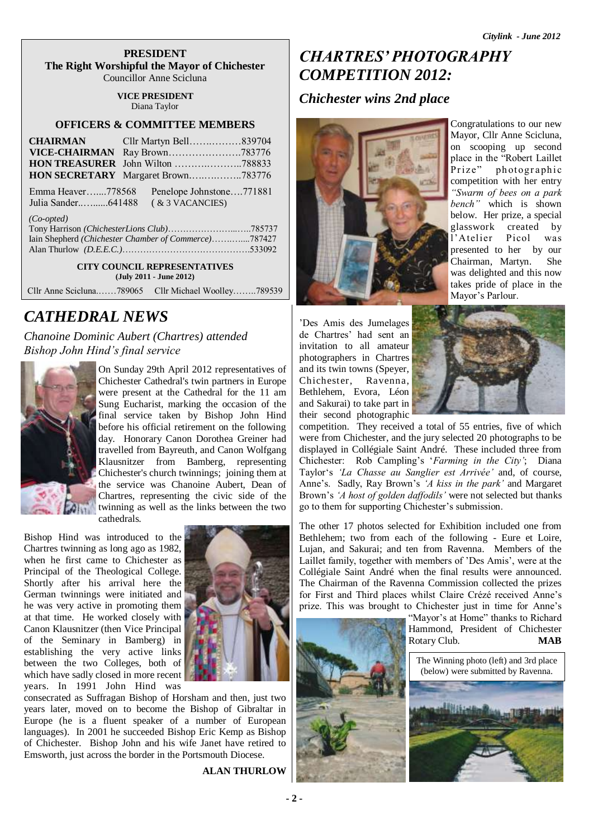#### **PRESIDENT The Right Worshipful the Mayor of Chichester** Councillor Anne Scicluna

### **VICE PRESIDENT**

Diana Taylor

### **OFFICERS & COMMITTEE MEMBERS**

| <b>CHAIRMAN</b>   | Cllr Martyn Bell839704             |  |
|-------------------|------------------------------------|--|
|                   |                                    |  |
|                   |                                    |  |
|                   | HON SECRETARY Margaret Brown783776 |  |
| Emma Heaver778568 | Penelope Johnstone771881           |  |
|                   | $(x \text{3 VACANCIES})$           |  |

#### *(Co-opted)*

| $\cup$ - <i>opieu</i>                                |  |
|------------------------------------------------------|--|
|                                                      |  |
| Iain Shepherd (Chichester Chamber of Commerce)787427 |  |
|                                                      |  |

**CITY COUNCIL REPRESENTATIVES (July 2011 - June 2012)**

Cllr Anne Scicluna.……789065 Cllr Michael Woolley……..789539

### *CATHEDRAL NEWS*

*Chanoine Dominic Aubert (Chartres) attended Bishop John Hind's final service*



On Sunday 29th April 2012 representatives of Chichester Cathedral's twin partners in Europe were present at the Cathedral for the 11 am Sung Eucharist, marking the occasion of the final service taken by Bishop John Hind before his official retirement on the following day. Honorary Canon Dorothea Greiner had travelled from Bayreuth, and Canon Wolfgang Klausnitzer from Bamberg, representing Chichester's church twinnings; joining them at the service was Chanoine Aubert, Dean of Chartres, representing the civic side of the twinning as well as the links between the two cathedrals.

Bishop Hind was introduced to the Chartres twinning as long ago as 1982, when he first came to Chichester as Principal of the Theological College. Shortly after his arrival here the German twinnings were initiated and he was very active in promoting them at that time. He worked closely with Canon Klausnitzer (then Vice Principal of the Seminary in Bamberg) in establishing the very active links between the two Colleges, both of which have sadly closed in more recent years. In 1991 John Hind was



consecrated as Suffragan Bishop of Horsham and then, just two years later, moved on to become the Bishop of Gibraltar in Europe (he is a fluent speaker of a number of European languages). In 2001 he succeeded Bishop Eric Kemp as Bishop of Chichester. Bishop John and his wife Janet have retired to Emsworth, just across the border in the Portsmouth Diocese.

**ALAN THURLOW**

## *CHARTRES' PHOTOGRAPHY COMPETITION 2012:*

### *Chichester wins 2nd place*



Congratulations to our new Mayor, Cllr Anne Scicluna, on scooping up second place in the "Robert Laillet Prize" photographic competition with her entry *"Swarm of bees on a park bench"* which is shown below. Her prize, a special glasswork created by l'Atelier Picol was presented to her by our Chairman, Martyn. She was delighted and this now takes pride of place in the Mayor's Parlour.

'Des Amis des Jumelages de Chartres' had sent an invitation to all amateur photographers in Chartres and its twin towns (Speyer, Chichester, Ravenna, Bethlehem, Evora, Léon and Sakurai) to take part in their second photographic



competition. They received a total of 55 entries, five of which were from Chichester, and the jury selected 20 photographs to be displayed in Collégiale Saint André. These included three from Chichester: Rob Campling's '*Farming in the City'*; Diana Taylor's *'La Chasse au Sanglier est Arrivée'* and, of course, Anne's. Sadly, Ray Brown's *'A kiss in the park'* and Margaret Brown's *'A host of golden daffodils'* were not selected but thanks go to them for supporting Chichester's submission.

The other 17 photos selected for Exhibition included one from Bethlehem; two from each of the following - Eure et Loire, Lujan, and Sakurai; and ten from Ravenna. Members of the Laillet family, together with members of 'Des Amis', were at the Collégiale Saint André when the final results were announced. The Chairman of the Ravenna Commission collected the prizes for First and Third places whilst Claire Crézé received Anne's prize. This was brought to Chichester just in time for Anne's

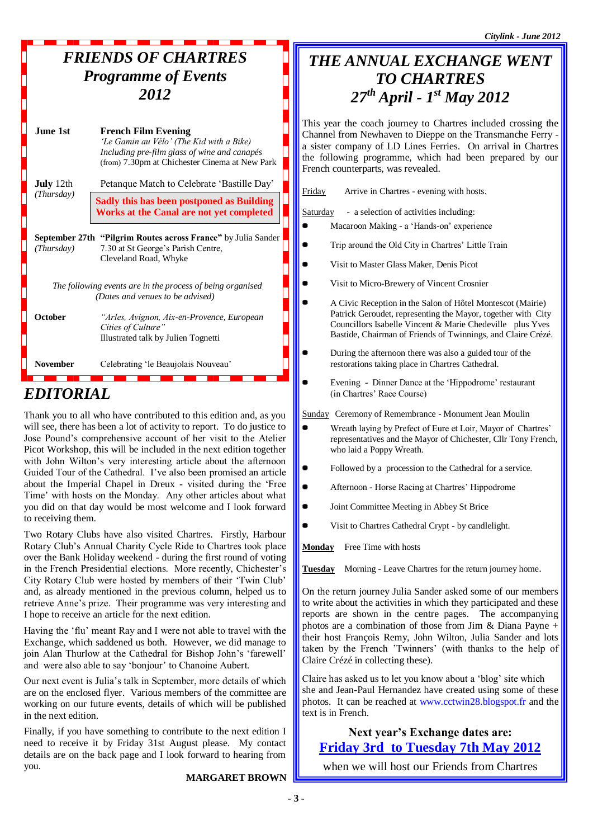*Citylink - June 2012*

### *FRIENDS OF CHARTRES Programme of Events 2012*

| June 1st         | <b>French Film Evening</b><br>'Le Gamin au Vélo' (The Kid with a Bike)<br>Including pre-film glass of wine and canapés<br>(from) 7.30pm at Chichester Cinema at New Park |
|------------------|--------------------------------------------------------------------------------------------------------------------------------------------------------------------------|
| <b>July</b> 12th | Petanque Match to Celebrate 'Bastille Day'                                                                                                                               |
| (Thursday)       | Sadly this has been postponed as Building<br><b>Works at the Canal are not yet completed</b>                                                                             |
| (Thursdav)       | <b>September 27th "Pilgrim Routes across France"</b> by Julia Sander<br>7.30 at St George's Parish Centre,<br>Cleveland Road, Whyke                                      |
|                  | The following events are in the process of being organised<br>(Dates and venues to be advised)                                                                           |
| <b>October</b>   | "Arles, Avignon, Aix-en-Provence, European<br>Cities of Culture"<br>Illustrated talk by Julien Tognetti                                                                  |
| <b>November</b>  | Celebrating 'le Beaujolais Nouveau'                                                                                                                                      |

## *EDITORIAL*

Thank you to all who have contributed to this edition and, as you will see, there has been a lot of activity to report. To do justice to Jose Pound's comprehensive account of her visit to the Atelier Picot Workshop, this will be included in the next edition together with John Wilton's very interesting article about the afternoon Guided Tour of the Cathedral. I've also been promised an article about the Imperial Chapel in Dreux - visited during the 'Free Time' with hosts on the Monday. Any other articles about what you did on that day would be most welcome and I look forward to receiving them.

Two Rotary Clubs have also visited Chartres. Firstly, Harbour Rotary Club's Annual Charity Cycle Ride to Chartres took place over the Bank Holiday weekend - during the first round of voting in the French Presidential elections. More recently, Chichester's City Rotary Club were hosted by members of their 'Twin Club' and, as already mentioned in the previous column, helped us to retrieve Anne's prize. Their programme was very interesting and I hope to receive an article for the next edition.

Having the 'flu' meant Ray and I were not able to travel with the Exchange, which saddened us both. However, we did manage to join Alan Thurlow at the Cathedral for Bishop John's 'farewell' and were also able to say 'bonjour' to Chanoine Aubert.

Our next event is Julia's talk in September, more details of which are on the enclosed flyer. Various members of the committee are working on our future events, details of which will be published in the next edition.

Finally, if you have something to contribute to the next edition I need to receive it by Friday 31st August please. My contact details are on the back page and I look forward to hearing from you.

#### **MARGARET BROWN**

## *THE ANNUAL EXCHANGE WENT TO CHARTRES 27th April - 1 st May 2012*

This year the coach journey to Chartres included crossing the Channel from Newhaven to Dieppe on the Transmanche Ferry a sister company of LD Lines Ferries. On arrival in Chartres the following programme, which had been prepared by our French counterparts, was revealed.

|                                      | Friday<br>Arrive in Chartres - evening with hosts.                                                                                                                                                                                                      |
|--------------------------------------|---------------------------------------------------------------------------------------------------------------------------------------------------------------------------------------------------------------------------------------------------------|
|                                      | - a selection of activities including:<br><b>Saturday</b><br>Macaroon Making - a 'Hands-on' experience                                                                                                                                                  |
|                                      | Trip around the Old City in Chartres' Little Train                                                                                                                                                                                                      |
|                                      | Visit to Master Glass Maker, Denis Picot                                                                                                                                                                                                                |
|                                      | Visit to Micro-Brewery of Vincent Crosnier                                                                                                                                                                                                              |
|                                      | A Civic Reception in the Salon of Hôtel Montescot (Mairie)<br>Patrick Geroudet, representing the Mayor, together with City<br>Councillors Isabelle Vincent & Marie Chedeville plus Yves<br>Bastide, Chairman of Friends of Twinnings, and Claire Crézé. |
|                                      | During the afternoon there was also a guided tour of the<br>restorations taking place in Chartres Cathedral.                                                                                                                                            |
|                                      | Evening - Dinner Dance at the 'Hippodrome' restaurant<br>(in Chartres' Race Course)                                                                                                                                                                     |
|                                      | <b>Sunday</b> Ceremony of Remembrance - Monument Jean Moulin                                                                                                                                                                                            |
| $\mathbf{r}$<br>ŗ<br>ŗ               | Wreath laying by Prefect of Eure et Loir, Mayor of Chartres'<br>representatives and the Mayor of Chichester, Cllr Tony French,<br>who laid a Poppy Wreath.                                                                                              |
| l<br>$\cdot$                         | Followed by a procession to the Cathedral for a service.                                                                                                                                                                                                |
| $\ddot{\phantom{0}}$<br>f            | Afternoon - Horse Racing at Chartres' Hippodrome                                                                                                                                                                                                        |
|                                      | Joint Committee Meeting in Abbey St Brice                                                                                                                                                                                                               |
| ľ                                    | Visit to Chartres Cathedral Crypt - by candlelight.                                                                                                                                                                                                     |
| $\frac{1}{2}$                        | <b>Monday</b><br>Free Time with hosts                                                                                                                                                                                                                   |
| ,                                    | Morning - Leave Chartres for the return journey home.<br>Tuesday                                                                                                                                                                                        |
| $\mathbf{C}$<br>l                    | On the return journey Julia Sander asked some of our members<br>to write about the activities in which they participated and these<br>reports are shown in the centre pages. The accompanying                                                           |
| $\ddot{\phantom{0}}$<br>$\mathbf{C}$ | photos are a combination of those from Jim & Diana Payne $+$<br>their host François Remy, John Wilton, Julia Sander and lots<br>taken by the French 'Twinners' (with thanks to the help of<br>Claire Crézé in collecting these).                        |
| ı                                    | Claire has asked us to let you know about a 'blog' site which<br>she and Jean-Paul Hernandez have created using some of these                                                                                                                           |

text is in French. **Next year's Exchange dates are: Friday 3rd to Tuesday 7th May 2012**

photos. It can be reached at www.cctwin28.blogspot.fr and the

when we will host our Friends from Chartres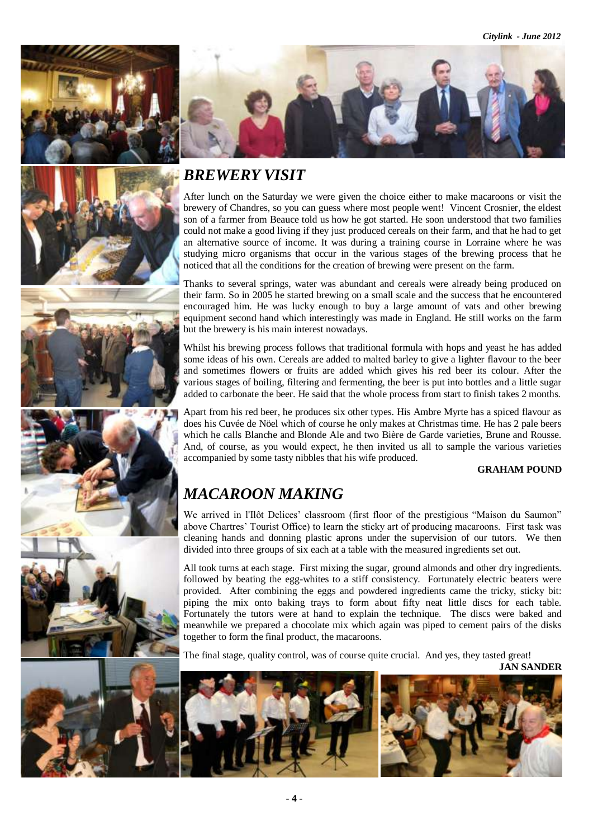





## *BREWERY VISIT*

After lunch on the Saturday we were given the choice either to make macaroons or visit the brewery of Chandres, so you can guess where most people went! Vincent Crosnier, the eldest son of a farmer from Beauce told us how he got started. He soon understood that two families could not make a good living if they just produced cereals on their farm, and that he had to get an alternative source of income. It was during a training course in Lorraine where he was studying micro organisms that occur in the various stages of the brewing process that he noticed that all the conditions for the creation of brewing were present on the farm.

Thanks to several springs, water was abundant and cereals were already being produced on their farm. So in 2005 he started brewing on a small scale and the success that he encountered encouraged him. He was lucky enough to buy a large amount of vats and other brewing equipment second hand which interestingly was made in England. He still works on the farm but the brewery is his main interest nowadays.

Whilst his brewing process follows that traditional formula with hops and yeast he has added some ideas of his own. Cereals are added to malted barley to give a lighter flavour to the beer and sometimes flowers or fruits are added which gives his red beer its colour. After the various stages of boiling, filtering and fermenting, the beer is put into bottles and a little sugar added to carbonate the beer. He said that the whole process from start to finish takes 2 months.

Apart from his red beer, he produces six other types. His Ambre Myrte has a spiced flavour as does his Cuvée de Nöel which of course he only makes at Christmas time. He has 2 pale beers which he calls Blanche and Blonde Ale and two Bière de Garde varieties, Brune and Rousse. And, of course, as you would expect, he then invited us all to sample the various varieties accompanied by some tasty nibbles that his wife produced.

#### **GRAHAM POUND**

# *MACAROON MAKING*

We arrived in l'Ilôt Delices' classroom (first floor of the prestigious "Maison du Saumon" above Chartres' Tourist Office) to learn the sticky art of producing macaroons. First task was cleaning hands and donning plastic aprons under the supervision of our tutors. We then divided into three groups of six each at a table with the measured ingredients set out.

All took turns at each stage. First mixing the sugar, ground almonds and other dry ingredients. followed by beating the egg-whites to a stiff consistency. Fortunately electric beaters were provided. After combining the eggs and powdered ingredients came the tricky, sticky bit: piping the mix onto baking trays to form about fifty neat little discs for each table. Fortunately the tutors were at hand to explain the technique. The discs were baked and meanwhile we prepared a chocolate mix which again was piped to cement pairs of the disks together to form the final product, the macaroons.

The final stage, quality control, was of course quite crucial. And yes, they tasted great!



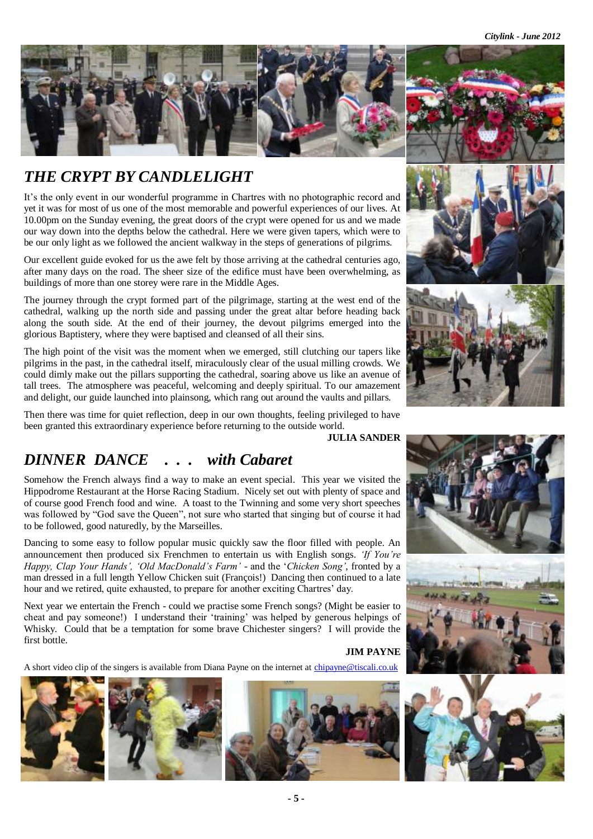*Citylink - June 2012*



## *THE CRYPT BY CANDLELIGHT*

It's the only event in our wonderful programme in Chartres with no photographic record and yet it was for most of us one of the most memorable and powerful experiences of our lives. At 10.00pm on the Sunday evening, the great doors of the crypt were opened for us and we made our way down into the depths below the cathedral. Here we were given tapers, which were to be our only light as we followed the ancient walkway in the steps of generations of pilgrims.

Our excellent guide evoked for us the awe felt by those arriving at the cathedral centuries ago, after many days on the road. The sheer size of the edifice must have been overwhelming, as buildings of more than one storey were rare in the Middle Ages.

The journey through the crypt formed part of the pilgrimage, starting at the west end of the cathedral, walking up the north side and passing under the great altar before heading back along the south side. At the end of their journey, the devout pilgrims emerged into the glorious Baptistery, where they were baptised and cleansed of all their sins.

The high point of the visit was the moment when we emerged, still clutching our tapers like pilgrims in the past, in the cathedral itself, miraculously clear of the usual milling crowds. We could dimly make out the pillars supporting the cathedral, soaring above us like an avenue of tall trees. The atmosphere was peaceful, welcoming and deeply spiritual. To our amazement and delight, our guide launched into plainsong, which rang out around the vaults and pillars.

Then there was time for quiet reflection, deep in our own thoughts, feeling privileged to have been granted this extraordinary experience before returning to the outside world.

**JULIA SANDER**

# *DINNER DANCE . . . with Cabaret*

Somehow the French always find a way to make an event special. This year we visited the Hippodrome Restaurant at the Horse Racing Stadium. Nicely set out with plenty of space and of course good French food and wine. A toast to the Twinning and some very short speeches was followed by "God save the Queen", not sure who started that singing but of course it had to be followed, good naturedly, by the Marseilles.

Dancing to some easy to follow popular music quickly saw the floor filled with people. An announcement then produced six Frenchmen to entertain us with English songs. *'If You're Happy, Clap Your Hands', 'Old MacDonald's Farm'* - and the '*Chicken Song'*, fronted by a man dressed in a full length Yellow Chicken suit (François!) Dancing then continued to a late hour and we retired, quite exhausted, to prepare for another exciting Chartres' day.

Next year we entertain the French - could we practise some French songs? (Might be easier to cheat and pay someone!) I understand their 'training' was helped by generous helpings of Whisky. Could that be a temptation for some brave Chichester singers? I will provide the first bottle.

### **JIM PAYNE**

A short video clip of the singers is available from Diana Payne on the internet at chipayne@tiscali.co.uk







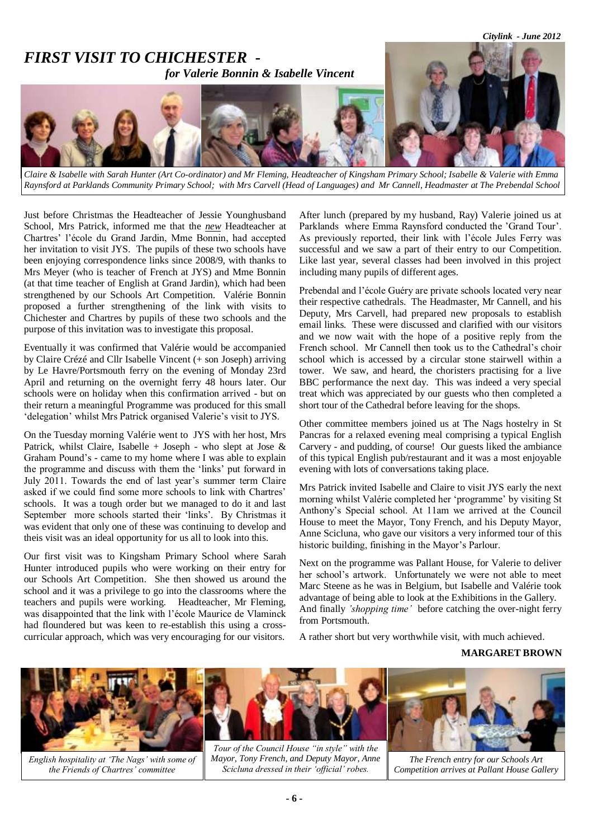

*Claire & Isabelle with Sarah Hunter (Art Co-ordinator) and Mr Fleming, Headteacher of Kingsham Primary School; Isabelle & Valerie with Emma Raynsford at Parklands Community Primary School; with Mrs Carvell (Head of Languages) and Mr Cannell, Headmaster at The Prebendal School*

Just before Christmas the Headteacher of Jessie Younghusband School, Mrs Patrick, informed me that the *new* Headteacher at Chartres' l'école du Grand Jardin, Mme Bonnin, had accepted her invitation to visit JYS. The pupils of these two schools have been enjoying correspondence links since 2008/9, with thanks to Mrs Meyer (who is teacher of French at JYS) and Mme Bonnin (at that time teacher of English at Grand Jardin), which had been strengthened by our Schools Art Competition. Valérie Bonnin proposed a further strengthening of the link with visits to Chichester and Chartres by pupils of these two schools and the purpose of this invitation was to investigate this proposal.

Eventually it was confirmed that Valérie would be accompanied by Claire Crézé and Cllr Isabelle Vincent (+ son Joseph) arriving by Le Havre/Portsmouth ferry on the evening of Monday 23rd April and returning on the overnight ferry 48 hours later. Our schools were on holiday when this confirmation arrived - but on their return a meaningful Programme was produced for this small 'delegation' whilst Mrs Patrick organised Valerie's visit to JYS.

On the Tuesday morning Valérie went to JYS with her host, Mrs Patrick, whilst Claire, Isabelle + Joseph - who slept at Jose  $\&$ Graham Pound's - came to my home where I was able to explain the programme and discuss with them the 'links' put forward in July 2011. Towards the end of last year's summer term Claire asked if we could find some more schools to link with Chartres' schools. It was a tough order but we managed to do it and last September more schools started their 'links'. By Christmas it was evident that only one of these was continuing to develop and theis visit was an ideal opportunity for us all to look into this.

Our first visit was to Kingsham Primary School where Sarah Hunter introduced pupils who were working on their entry for our Schools Art Competition. She then showed us around the school and it was a privilege to go into the classrooms where the teachers and pupils were working. Headteacher, Mr Fleming, was disappointed that the link with l'école Maurice de Vlaminck had floundered but was keen to re-establish this using a crosscurricular approach, which was very encouraging for our visitors.

After lunch (prepared by my husband, Ray) Valerie joined us at Parklands where Emma Raynsford conducted the 'Grand Tour'. As previously reported, their link with l'école Jules Ferry was successful and we saw a part of their entry to our Competition. Like last year, several classes had been involved in this project including many pupils of different ages.

Prebendal and l'école Guéry are private schools located very near their respective cathedrals. The Headmaster, Mr Cannell, and his Deputy, Mrs Carvell, had prepared new proposals to establish email links. These were discussed and clarified with our visitors and we now wait with the hope of a positive reply from the French school. Mr Cannell then took us to the Cathedral's choir school which is accessed by a circular stone stairwell within a tower. We saw, and heard, the choristers practising for a live BBC performance the next day. This was indeed a very special treat which was appreciated by our guests who then completed a short tour of the Cathedral before leaving for the shops.

Other committee members joined us at The Nags hostelry in St Pancras for a relaxed evening meal comprising a typical English Carvery - and pudding, of course! Our guests liked the ambiance of this typical English pub/restaurant and it was a most enjoyable evening with lots of conversations taking place.

Mrs Patrick invited Isabelle and Claire to visit JYS early the next morning whilst Valérie completed her 'programme' by visiting St Anthony's Special school. At 11am we arrived at the Council House to meet the Mayor, Tony French, and his Deputy Mayor, Anne Scicluna, who gave our visitors a very informed tour of this historic building, finishing in the Mayor's Parlour.

Next on the programme was Pallant House, for Valerie to deliver her school's artwork. Unfortunately we were not able to meet Marc Steene as he was in Belgium, but Isabelle and Valérie took advantage of being able to look at the Exhibitions in the Gallery. And finally *'shopping time'* before catching the over-night ferry from Portsmouth.

A rather short but very worthwhile visit, with much achieved.

#### **MARGARET BROWN**



*English hospitality at 'The Nags' with some of the Friends of Chartres' committee*

*Tour of the Council House "in style" with the Mayor, Tony French, and Deputy Mayor, Anne Scicluna dressed in their 'official' robes.*

*The French entry for our Schools Art Competition arrives at Pallant House Gallery*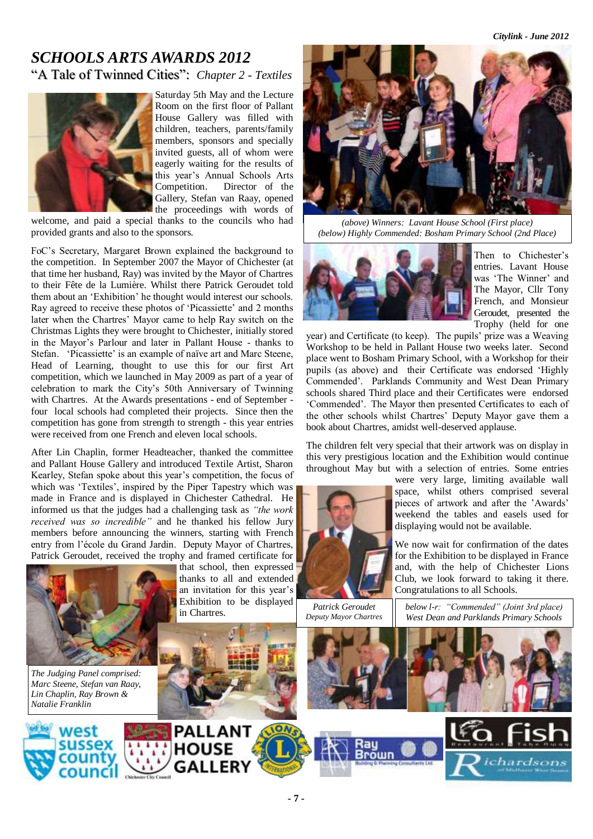*Citylink - June 2012*

### *SCHOOLS ARTS AWARDS 2012* "A Tale of Twinned Cities": *Chapter 2 - Textiles*

Saturday 5th May and the Lecture Room on the first floor of Pallant House Gallery was filled with children, teachers, parents/family members, sponsors and specially invited guests, all of whom were eagerly waiting for the results of this year's Annual Schools Arts Competition. Director of the Gallery, Stefan van Raay, opened the proceedings with words of

welcome, and paid a special thanks to the councils who had provided grants and also to the sponsors.

FoC's Secretary, Margaret Brown explained the background to the competition. In September 2007 the Mayor of Chichester (at that time her husband, Ray) was invited by the Mayor of Chartres to their Fête de la Lumière. Whilst there Patrick Geroudet told them about an 'Exhibition' he thought would interest our schools. Ray agreed to receive these photos of 'Picassiette' and 2 months later when the Chartres' Mayor came to help Ray switch on the Christmas Lights they were brought to Chichester, initially stored in the Mayor's Parlour and later in Pallant House - thanks to Stefan. 'Picassiette' is an example of naïve art and Marc Steene, Head of Learning, thought to use this for our first Art competition, which we launched in May 2009 as part of a year of celebration to mark the City's 50th Anniversary of Twinning with Chartres. At the Awards presentations - end of September four local schools had completed their projects. Since then the competition has gone from strength to strength - this year entries were received from one French and eleven local schools.

After Lin Chaplin, former Headteacher, thanked the committee and Pallant House Gallery and introduced Textile Artist, Sharon Kearley, Stefan spoke about this year's competition, the focus of which was 'Textiles', inspired by the Piper Tapestry which was made in France and is displayed in Chichester Cathedral. He informed us that the judges had a challenging task as *"the work received was so incredible"* and he thanked his fellow Jury members before announcing the winners, starting with French entry from l'école du Grand Jardin. Deputy Mayor of Chartres, Patrick Geroudet*,* received the trophy and framed certificate for



*The Judging Panel comprised: Marc Steene, Stefan van Raay, Lin Chaplin, Ray Brown & Natalie Franklin*

west

that school, then expressed thanks to all and extended an invitation for this year's Exhibition to be displayed in Chartres.

**HOUSE** 

**GALLERY** 



*(above) Winners: Lavant House School (First place) (below) Highly Commended: Bosham Primary School (2nd Place)* 



Then to Chichester's entries. Lavant House was 'The Winner' and The Mayor, Cllr Tony French, and Monsieur Geroudet, presented the Trophy (held for one

year) and Certificate (to keep). The pupils' prize was a Weaving Workshop to be held in Pallant House two weeks later. Second place went to Bosham Primary School, with a Workshop for their pupils (as above) and their Certificate was endorsed 'Highly Commended'. Parklands Community and West Dean Primary schools shared Third place and their Certificates were endorsed 'Commended'. The Mayor then presented Certificates to each of the other schools whilst Chartres' Deputy Mayor gave them a book about Chartres, amidst well-deserved applause.

The children felt very special that their artwork was on display in this very prestigious location and the Exhibition would continue throughout May but with a selection of entries. Some entries



were very large, limiting available wall space, whilst others comprised several pieces of artwork and after the 'Awards' weekend the tables and easels used for displaying would not be available.

We now wait for confirmation of the dates for the Exhibition to be displayed in France and, with the help of Chichester Lions Club, we look forward to taking it there. Congratulations to all Schools.

*Patrick Geroudet Deputy Mayor Chartres* *below l-r: "Commended" (Joint 3rd place) West Dean and Parklands Primary Schools*